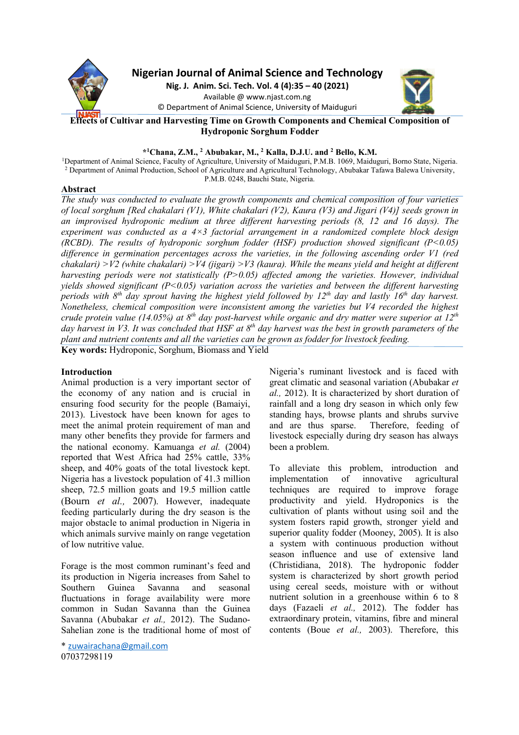

**Nigerian Journal of Animal Science and Technology**

**Nig. J. Anim. Sci. Tech. Vol. 4 (4):35 – 40 (2021)** Available @ www.njast.com.ng © Department of Animal Science, University of Maiduguri



**Effects of Cultivar and Harvesting Time on Growth Components and Chemical Composition of Hydroponic Sorghum Fodder** 

# **\* <sup>1</sup>Chana, Z.M., <sup>2</sup> Abubakar, M., <sup>2</sup> Kalla, D.J.U. and <sup>2</sup> Bello, K.M.**

<sup>1</sup>Department of Animal Science, Faculty of Agriculture, University of Maiduguri, P.M.B. 1069, Maiduguri, Borno State, Nigeria. <sup>2</sup> Department of Animal Production, School of Agriculture and Agricultural Technology, Abubakar Tafawa Balewa University, P.M.B. 0248, Bauchi State, Nigeria.

## **Abstract**

*The study was conducted to evaluate the growth components and chemical composition of four varieties of local sorghum [Red chakalari (V1), White chakalari (V2), Kaura (V3) and Jigari (V4)] seeds grown in an improvised hydroponic medium at three different harvesting periods (8, 12 and 16 days). The experiment was conducted as a 4×3 factorial arrangement in a randomized complete block design (RCBD). The results of hydroponic sorghum fodder (HSF) production showed significant (P<0.05) difference in germination percentages across the varieties, in the following ascending order V1 (red chakalari) >V2 (white chakalari) >V4 (jigari) >V3 (kaura). While the means yield and height at different harvesting periods were not statistically (P>0.05) affected among the varieties. However, individual yields showed significant (P<0.05) variation across the varieties and between the different harvesting periods with 8th day sprout having the highest yield followed by 12th day and lastly 16th day harvest. Nonetheless, chemical composition were inconsistent among the varieties but V4 recorded the highest crude protein value (14.05%) at 8th day post-harvest while organic and dry matter were superior at 12th day harvest in V3. It was concluded that HSF at 8th day harvest was the best in growth parameters of the plant and nutrient contents and all the varieties can be grown as fodder for livestock feeding.*  **Key words:** Hydroponic, Sorghum, Biomass and Yield

# **Introduction**

Animal production is a very important sector of the economy of any nation and is crucial in ensuring food security for the people (Bamaiyi, 2013). Livestock have been known for ages to meet the animal protein requirement of man and many other benefits they provide for farmers and the national economy. Kamuanga *et al.* (2004) reported that West Africa had 25% cattle, 33% sheep, and 40% goats of the total livestock kept. Nigeria has a livestock population of 41.3 million sheep, 72.5 million goats and 19.5 million cattle (Bourn *et al.,* 2007). However, inadequate feeding particularly during the dry season is the major obstacle to animal production in Nigeria in which animals survive mainly on range vegetation of low nutritive value.

Forage is the most common ruminant's feed and its production in Nigeria increases from Sahel to Southern Guinea Savanna and seasonal fluctuations in forage availability were more common in Sudan Savanna than the Guinea Savanna (Abubakar *et al.,* 2012). The Sudano-Sahelian zone is the traditional home of most of Nigeria's ruminant livestock and is faced with great climatic and seasonal variation (Abubakar *et al.,* 2012). It is characterized by short duration of rainfall and a long dry season in which only few standing hays, browse plants and shrubs survive<br>and are thus sparse. Therefore, feeding of Therefore, feeding of livestock especially during dry season has always been a problem.

To alleviate this problem, introduction and implementation of innovative agricultural techniques are required to improve forage productivity and yield. Hydroponics is the cultivation of plants without using soil and the system fosters rapid growth, stronger yield and superior quality fodder (Mooney, 2005). It is also a system with continuous production without season influence and use of extensive land (Christidiana, 2018). The hydroponic fodder system is characterized by short growth period using cereal seeds, moisture with or without nutrient solution in a greenhouse within 6 to 8 days (Fazaeli *et al.,* 2012). The fodder has extraordinary protein, vitamins, fibre and mineral contents (Boue *et al.,* 2003). Therefore, this

<sup>\*</sup> zuwairachana@gmail.com 07037298119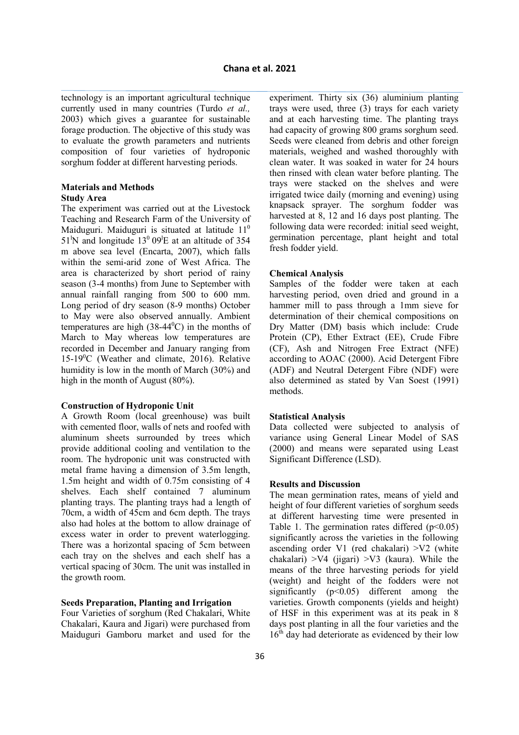technology is an important agricultural technique currently used in many countries (Turdo *et al.,* 2003) which gives a guarantee for sustainable forage production. The objective of this study was to evaluate the growth parameters and nutrients composition of four varieties of hydroponic sorghum fodder at different harvesting periods.

# **Materials and Methods Study Area**

The experiment was carried out at the Livestock Teaching and Research Farm of the University of Maiduguri. Maiduguri is situated at latitude 11<sup>0</sup>  $51^{\circ}$ N and longitude  $13^{\circ}$  09<sup>1</sup>E at an altitude of 354 m above sea level (Encarta, 2007), which falls within the semi-arid zone of West Africa. The area is characterized by short period of rainy season (3-4 months) from June to September with annual rainfall ranging from 500 to 600 mm. Long period of dry season (8-9 months) October to May were also observed annually. Ambient temperatures are high  $(38-44^{\circ}C)$  in the months of March to May whereas low temperatures are recorded in December and January ranging from 15-19<sup>0</sup>C (Weather and climate, 2016). Relative humidity is low in the month of March (30%) and high in the month of August (80%).

# **Construction of Hydroponic Unit**

A Growth Room (local greenhouse) was built with cemented floor, walls of nets and roofed with aluminum sheets surrounded by trees which provide additional cooling and ventilation to the room. The hydroponic unit was constructed with metal frame having a dimension of 3.5m length, 1.5m height and width of 0.75m consisting of 4 shelves. Each shelf contained 7 aluminum planting trays. The planting trays had a length of 70cm, a width of 45cm and 6cm depth. The trays also had holes at the bottom to allow drainage of excess water in order to prevent waterlogging. There was a horizontal spacing of 5cm between each tray on the shelves and each shelf has a vertical spacing of 30cm. The unit was installed in the growth room.

## **Seeds Preparation, Planting and Irrigation**

Four Varieties of sorghum (Red Chakalari, White Chakalari, Kaura and Jigari) were purchased from Maiduguri Gamboru market and used for the experiment. Thirty six (36) aluminium planting trays were used, three (3) trays for each variety and at each harvesting time. The planting trays had capacity of growing 800 grams sorghum seed. Seeds were cleaned from debris and other foreign materials, weighed and washed thoroughly with clean water. It was soaked in water for 24 hours then rinsed with clean water before planting. The trays were stacked on the shelves and were irrigated twice daily (morning and evening) using knapsack sprayer. The sorghum fodder was harvested at 8, 12 and 16 days post planting. The following data were recorded: initial seed weight, germination percentage, plant height and total fresh fodder yield.

## **Chemical Analysis**

Samples of the fodder were taken at each harvesting period, oven dried and ground in a hammer mill to pass through a 1mm sieve for determination of their chemical compositions on Dry Matter (DM) basis which include: Crude Protein (CP), Ether Extract (EE), Crude Fibre (CF), Ash and Nitrogen Free Extract (NFE) according to AOAC (2000). Acid Detergent Fibre (ADF) and Neutral Detergent Fibre (NDF) were also determined as stated by Van Soest (1991) methods.

#### **Statistical Analysis**

Data collected were subjected to analysis of variance using General Linear Model of SAS (2000) and means were separated using Least Significant Difference (LSD).

## **Results and Discussion**

The mean germination rates, means of yield and height of four different varieties of sorghum seeds at different harvesting time were presented in Table 1. The germination rates differed  $(p<0.05)$ significantly across the varieties in the following ascending order V1 (red chakalari) >V2 (white chakalari)  $>V4$  (jigari)  $>V3$  (kaura). While the means of the three harvesting periods for yield (weight) and height of the fodders were not significantly  $(p<0.05)$  different among the varieties. Growth components (yields and height) of HSF in this experiment was at its peak in 8 days post planting in all the four varieties and the 16<sup>th</sup> day had deteriorate as evidenced by their low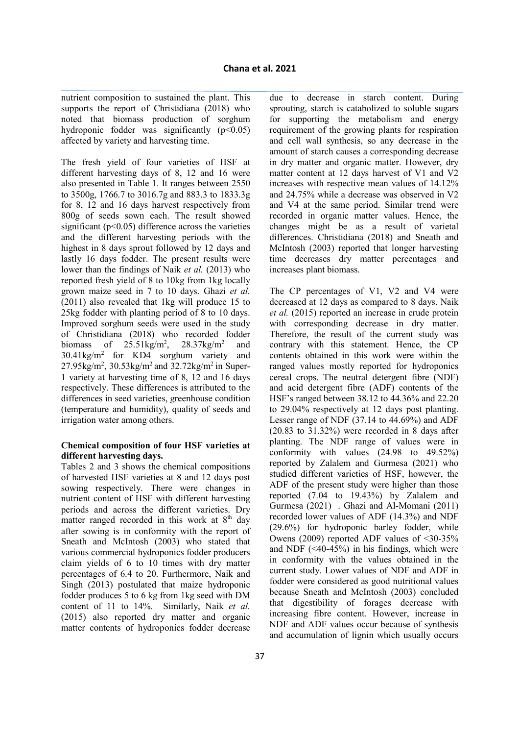nutrient composition to sustained the plant. This supports the report of Christidiana (2018) who noted that biomass production of sorghum hydroponic fodder was significantly  $(p<0.05)$ affected by variety and harvesting time.

The fresh yield of four varieties of HSF at different harvesting days of 8, 12 and 16 were also presented in Table 1. It ranges between 2550 to 3500g, 1766.7 to 3016.7g and 883.3 to 1833.3g for 8, 12 and 16 days harvest respectively from 800g of seeds sown each. The result showed significant ( $p<0.05$ ) difference across the varieties and the different harvesting periods with the highest in 8 days sprout followed by 12 days and lastly 16 days fodder. The present results were lower than the findings of Naik *et al.* (2013) who reported fresh yield of 8 to 10kg from 1kg locally grown maize seed in 7 to 10 days. Ghazi *et al.* (2011) also revealed that 1kg will produce 15 to 25kg fodder with planting period of 8 to 10 days. Improved sorghum seeds were used in the study of Christidiana (2018) who recorded fodder biomass of  $25.51 \text{kg/m}^2$ ,  $28.37$ kg/m<sup>2</sup> and  $30.41\text{kg/m}^2$  for KD4 sorghum variety and  $27.95\text{kg/m}^2$ ,  $30.53\text{kg/m}^2$  and  $32.72\text{kg/m}^2$  in Super-1 variety at harvesting time of 8, 12 and 16 days respectively. These differences is attributed to the differences in seed varieties, greenhouse condition (temperature and humidity), quality of seeds and irrigation water among others.

## **Chemical composition of four HSF varieties at different harvesting days.**

Tables 2 and 3 shows the chemical compositions of harvested HSF varieties at 8 and 12 days post sowing respectively. There were changes in nutrient content of HSF with different harvesting periods and across the different varieties. Dry matter ranged recorded in this work at  $8<sup>th</sup>$  day after sowing is in conformity with the report of Sneath and McIntosh (2003) who stated that various commercial hydroponics fodder producers claim yields of 6 to 10 times with dry matter percentages of 6.4 to 20. Furthermore, Naik and Singh (2013) postulated that maize hydroponic fodder produces 5 to 6 kg from 1kg seed with DM content of 11 to 14%. Similarly, Naik *et al.* (2015) also reported dry matter and organic matter contents of hydroponics fodder decrease

due to decrease in starch content. During sprouting, starch is catabolized to soluble sugars for supporting the metabolism and energy requirement of the growing plants for respiration and cell wall synthesis, so any decrease in the amount of starch causes a corresponding decrease in dry matter and organic matter. However, dry matter content at 12 days harvest of V1 and V2 increases with respective mean values of 14.12% and 24.75% while a decrease was observed in V2 and V4 at the same period. Similar trend were recorded in organic matter values. Hence, the changes might be as a result of varietal differences. Christidiana (2018) and Sneath and McIntosh (2003) reported that longer harvesting time decreases dry matter percentages and increases plant biomass.

The CP percentages of V1, V2 and V4 were decreased at 12 days as compared to 8 days. Naik *et al.* (2015) reported an increase in crude protein with corresponding decrease in dry matter. Therefore, the result of the current study was contrary with this statement. Hence, the CP contents obtained in this work were within the ranged values mostly reported for hydroponics cereal crops. The neutral detergent fibre (NDF) and acid detergent fibre (ADF) contents of the HSF's ranged between 38.12 to 44.36% and 22.20 to 29.04% respectively at 12 days post planting. Lesser range of NDF (37.14 to 44.69%) and ADF (20.83 to 31.32%) were recorded in 8 days after planting. The NDF range of values were in conformity with values (24.98 to 49.52%) reported by Zalalem and Gurmesa (2021) who studied different varieties of HSF, however, the ADF of the present study were higher than those reported (7.04 to 19.43%) by Zalalem and Gurmesa (2021) . Ghazi and Al-Momani (2011) recorded lower values of ADF (14.3%) and NDF (29.6%) for hydroponic barley fodder, while Owens (2009) reported ADF values of <30-35% and NDF  $(\leq 40.45\%)$  in his findings, which were in conformity with the values obtained in the current study. Lower values of NDF and ADF in fodder were considered as good nutritional values because Sneath and McIntosh (2003) concluded that digestibility of forages decrease with increasing fibre content. However, increase in NDF and ADF values occur because of synthesis and accumulation of lignin which usually occurs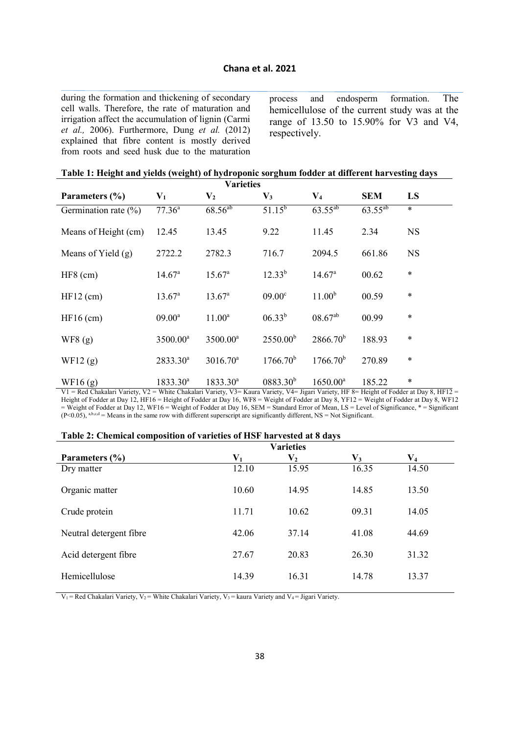during the formation and thickening of secondary cell walls. Therefore, the rate of maturation and irrigation affect the accumulation of lignin (Carmi *et al.,* 2006). Furthermore, Dung *et al.* (2012) explained that fibre content is mostly derived from roots and seed husk due to the maturation

process and endosperm formation. The hemicellulose of the current study was at the range of 13.50 to 15.90% for V3 and V4, respectively.

|  |  |  |  |  |  |  |  | Table 1: Height and yields (weight) of hydroponic sorghum fodder at different harvesting days |
|--|--|--|--|--|--|--|--|-----------------------------------------------------------------------------------------------|
|--|--|--|--|--|--|--|--|-----------------------------------------------------------------------------------------------|

|                          |                      | <b>Varieties</b>     |                      |                      |              |           |
|--------------------------|----------------------|----------------------|----------------------|----------------------|--------------|-----------|
| Parameters (%)           | $\mathbf{V}_1$       | V <sub>2</sub>       | $\mathbf{V}_3$       | $V_4$                | <b>SEM</b>   | LS        |
| Germination rate $(\% )$ | 77.36 <sup>a</sup>   | $68.56^{ab}$         | $51.\overline{15^b}$ | $63.55^{ab}$         | $63.55^{ab}$ | $\ast$    |
| Means of Height (cm)     | 12.45                | 13.45                | 9.22                 | 11.45                | 2.34         | <b>NS</b> |
| Means of Yield $(g)$     | 2722.2               | 2782.3               | 716.7                | 2094.5               | 661.86       | <b>NS</b> |
| $HF8$ (cm)               | 14.67 <sup>a</sup>   | 15.67 <sup>a</sup>   | $12.33^{b}$          | 14.67 <sup>a</sup>   | 00.62        | $\ast$    |
| $HF12$ (cm)              | $13.67^a$            | $13.67^a$            | 09.00 <sup>c</sup>   | 11.00 <sup>b</sup>   | 00.59        | $\ast$    |
| $HF16$ (cm)              | $09.00^a$            | $11.00^a$            | $06.33^{b}$          | $08.67^{ab}$         | 00.99        | $\ast$    |
| WF8(g)                   | 3500.00 <sup>a</sup> | 3500.00 <sup>a</sup> | 2550.00 <sup>b</sup> | $2866.70^{b}$        | 188.93       | $\ast$    |
| WF12(g)                  | 2833.30 <sup>a</sup> | $3016.70^a$          | 1766.70 <sup>b</sup> | 1766.70 <sup>b</sup> | 270.89       | $\ast$    |
| WF16 $(g)$               | $1833.30^a$          | $1833.30^a$          | $0883.30^{b}$        | $1650.00^a$          | 185.22       | $\ast$    |

V1 = Red Chakalari Variety, V2 = White Chakalari Variety, V3= Kaura Variety, V4= Jigari Variety, HF 8= Height of Fodder at Day 8, HF12 = Height of Fodder at Day 12, HF16 = Height of Fodder at Day 16, WF8 = Weight of Fodder at Day 8, YF12 = Weight of Fodder at Day 8, WF12 = Weight of Fodder at Day 12, WF16 = Weight of Fodder at Day 16, SEM = Standard Error of Mean, LS = Level of Significance, \* = Significant  $(P< 0.05)$ , a,b,c,d = Means in the same row with different superscript are significantly different, NS = Not Significant.

| Table 2: Chemical composition of varieties of HSF harvested at 8 days |  |
|-----------------------------------------------------------------------|--|
|-----------------------------------------------------------------------|--|

|                         | <b>Varieties</b>        |                  |                |                         |  |  |
|-------------------------|-------------------------|------------------|----------------|-------------------------|--|--|
| Parameters $(\% )$      | $\mathbf{V}_\mathbf{1}$ | $\mathbf{V_{2}}$ | $\mathbf{V}_3$ | $\mathbf{V}_\mathbf{4}$ |  |  |
| Dry matter              | 12.10                   | 15.95            | 16.35          | 14.50                   |  |  |
| Organic matter          | 10.60                   | 14.95            | 14.85          | 13.50                   |  |  |
| Crude protein           | 11.71                   | 10.62            | 09.31          | 14.05                   |  |  |
| Neutral detergent fibre | 42.06                   | 37.14            | 41.08          | 44.69                   |  |  |
| Acid detergent fibre    | 27.67                   | 20.83            | 26.30          | 31.32                   |  |  |
| Hemicellulose           | 14.39                   | 16.31            | 14.78          | 13.37                   |  |  |

 $V_1$  = Red Chakalari Variety,  $V_2$  = White Chakalari Variety,  $V_3$  = kaura Variety and  $V_4$  = Jigari Variety.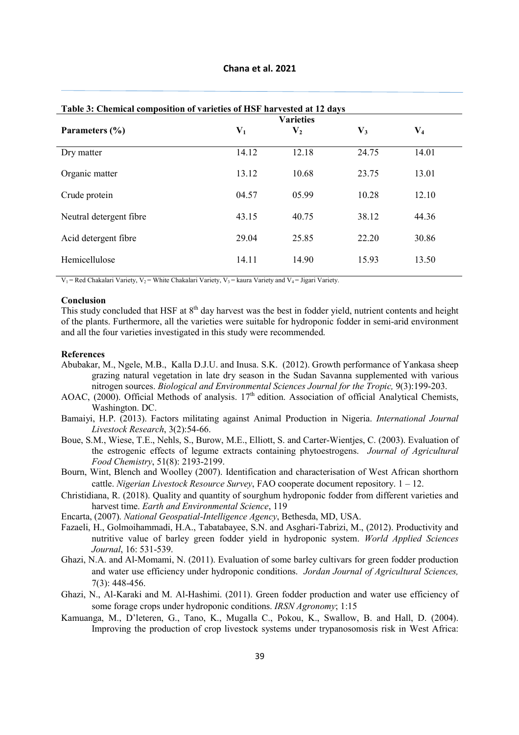|                         | Table 5: Chemical composition of varieties of HSF harvested at 12 days<br><b>Varieties</b> |                |       |                |  |  |
|-------------------------|--------------------------------------------------------------------------------------------|----------------|-------|----------------|--|--|
| Parameters (%)          | $\mathbf{V}_1$                                                                             | $\mathbf{V}_2$ | $V_3$ | $\mathbf{V}_4$ |  |  |
| Dry matter              | 14.12                                                                                      | 12.18          | 24.75 | 14.01          |  |  |
| Organic matter          | 13.12                                                                                      | 10.68          | 23.75 | 13.01          |  |  |
| Crude protein           | 04.57                                                                                      | 05.99          | 10.28 | 12.10          |  |  |
| Neutral detergent fibre | 43.15                                                                                      | 40.75          | 38.12 | 44.36          |  |  |
| Acid detergent fibre    | 29.04                                                                                      | 25.85          | 22.20 | 30.86          |  |  |
| Hemicellulose           | 14.11                                                                                      | 14.90          | 15.93 | 13.50          |  |  |

# **Table 3: Chemical composition of varieties of HSF harvested at 12 days**

 $V_1$  = Red Chakalari Variety,  $V_2$  = White Chakalari Variety,  $V_3$  = kaura Variety and  $V_4$  = Jigari Variety.

#### **Conclusion**

This study concluded that HSF at  $8<sup>th</sup>$  day harvest was the best in fodder yield, nutrient contents and height of the plants. Furthermore, all the varieties were suitable for hydroponic fodder in semi-arid environment and all the four varieties investigated in this study were recommended.

#### **References**

- Abubakar, M., Ngele, M.B., Kalla D.J.U. and Inusa. S.K. (2012). Growth performance of Yankasa sheep grazing natural vegetation in late dry season in the Sudan Savanna supplemented with various nitrogen sources. *Biological and Environmental Sciences Journal for the Tropic,* 9(3):199-203.
- AOAC,  $(2000)$ . Official Methods of analysis. 17<sup>th</sup> edition. Association of official Analytical Chemists, Washington. DC.
- Bamaiyi, H.P. (2013). Factors militating against Animal Production in Nigeria. *International Journal Livestock Research*, 3(2):54-66.
- Boue, S.M., Wiese, T.E., Nehls, S., Burow, M.E., Elliott, S. and Carter-Wientjes, C. (2003). Evaluation of the estrogenic effects of legume extracts containing phytoestrogens. *Journal of Agricultural Food Chemistry*, 51(8): 2193-2199.
- Bourn, Wint, Blench and Woolley (2007). Identification and characterisation of West African shorthorn cattle. *Nigerian Livestock Resource Survey*, FAO cooperate document repository. 1 – 12.
- Christidiana, R. (2018). Quality and quantity of sourghum hydroponic fodder from different varieties and harvest time. *Earth and Environmental Science*, 119
- Encarta, (2007). *National Geospatial-Intelligence Agency*, Bethesda, MD, USA.
- Fazaeli, H., Golmoihammadi, H.A., Tabatabayee, S.N. and Asghari-Tabrizi, M., (2012). Productivity and nutritive value of barley green fodder yield in hydroponic system. *World Applied Sciences Journal*, 16: 531-539.
- Ghazi, N.A. and Al-Momami, N. (2011). Evaluation of some barley cultivars for green fodder production and water use efficiency under hydroponic conditions. *Jordan Journal of Agricultural Sciences,*  7(3): 448-456.
- Ghazi, N., Al-Karaki and M. Al-Hashimi. (2011). Green fodder production and water use efficiency of some forage crops under hydroponic conditions. *IRSN Agronomy*; 1:15
- Kamuanga, M., D'leteren, G., Tano, K., Mugalla C., Pokou, K., Swallow, B. and Hall, D. (2004). Improving the production of crop livestock systems under trypanosomosis risk in West Africa: